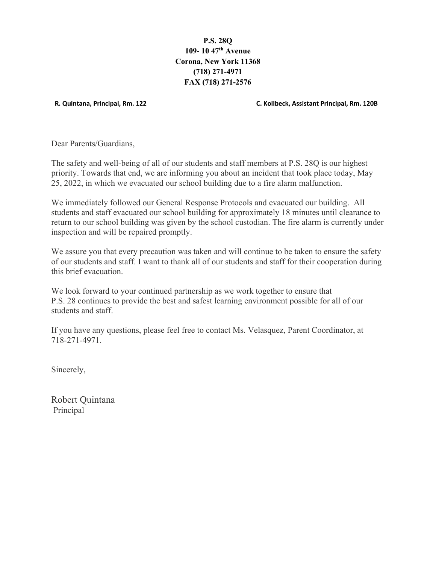**P.S. 28Q 109- 10 47th Avenue Corona, New York 11368 (718) 271-4971 FAX (718) 271-2576**

 **R. Quintana, Principal, Rm. 122 C. Kollbeck, Assistant Principal, Rm. 120B**

Dear Parents/Guardians,

The safety and well-being of all of our students and staff members at P.S. 28Q is our highest priority. Towards that end, we are informing you about an incident that took place today, May 25, 2022, in which we evacuated our school building due to a fire alarm malfunction.

We immediately followed our General Response Protocols and evacuated our building. All students and staff evacuated our school building for approximately 18 minutes until clearance to return to our school building was given by the school custodian. The fire alarm is currently under inspection and will be repaired promptly.

We assure you that every precaution was taken and will continue to be taken to ensure the safety of our students and staff. I want to thank all of our students and staff for their cooperation during this brief evacuation.

We look forward to your continued partnership as we work together to ensure that P.S. 28 continues to provide the best and safest learning environment possible for all of our students and staff.

If you have any questions, please feel free to contact Ms. Velasquez, Parent Coordinator, at 718-271-4971.

Sincerely,

Robert Quintana Principal